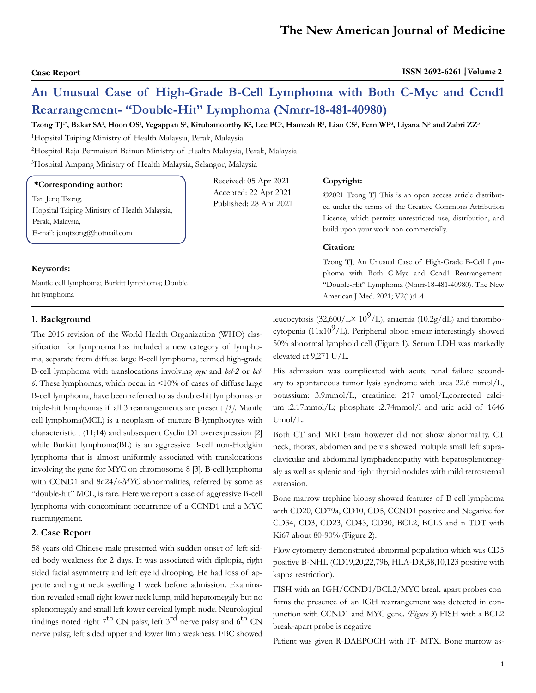# **An Unusual Case of High-Grade B-Cell Lymphoma with Both C-Myc and Ccnd1 Rearrangement- "Double-Hit" Lymphoma (Nmrr-18-481-40980)**

 $\bf{T}z$ ong  $\bf{T}J^*$ , Bakar SA', Hoon OS', Yegappan S<sup>3</sup>, Kirubamoorthy K<sup>2</sup>, Lee PC<sup>3</sup>, Hamzah R<sup>3</sup>, Lian CS<sup>3</sup>, Fern WP<sup>3</sup>, Liyana N<sup>3</sup> and Zabri ZZ<sup>3</sup>

1 Hopsital Taiping Ministry of Health Malaysia, Perak, Malaysia

2 Hospital Raja Permaisuri Bainun Ministry of Health Malaysia, Perak, Malaysia

3 Hospital Ampang Ministry of Health Malaysia, Selangor, Malaysia

| *Corresponding author:                                                                                                | Received: 05 Apr 2021<br>Accepted: 22 Apr 2021<br>Published: 28 Apr 2021 | Copyright:                                                                                                                                                                                                                 |
|-----------------------------------------------------------------------------------------------------------------------|--------------------------------------------------------------------------|----------------------------------------------------------------------------------------------------------------------------------------------------------------------------------------------------------------------------|
| Tan Jeng Tzong,<br>Hopsital Taiping Ministry of Health Malaysia,<br>Perak, Malaysia,<br>E-mail: jenqtzong@hotmail.com |                                                                          | ©2021 Tzong TJ This is an open access article distribut-<br>ed under the terms of the Creative Commons Attribution<br>License, which permits unrestricted use, distribution, and<br>build upon your work non-commercially. |
|                                                                                                                       |                                                                          | Citation:                                                                                                                                                                                                                  |
| Keywords:                                                                                                             |                                                                          | Tzong TJ, An Unusual Case of High-Grade B-Cell Lym-<br>phoma with Both C-Myc and Ccnd1 Rearrangement-                                                                                                                      |
| Mantle cell lymphoma; Burkitt lymphoma; Double                                                                        |                                                                          | "Double-Hit" Lymphoma (Nmrr-18-481-40980). The New                                                                                                                                                                         |
| hit lymphoma                                                                                                          |                                                                          | American J Med. 2021; V2(1):1-4                                                                                                                                                                                            |

# **1. Background**

The 2016 revision of the World Health Organization (WHO) classification for lymphoma has included a new category of lymphoma, separate from diffuse large B-cell lymphoma, termed high-grade B-cell lymphoma with translocations involving *myc* and *bcl-2* or *bcl-6.* These lymphomas, which occur in <10% of cases of diffuse large B-cell lymphoma, have been referred to as double-hit lymphomas or triple-hit lymphomas if all 3 rearrangements are present *[1]*. Mantle cell lymphoma(MCL) is a neoplasm of mature B-lymphocytes with characteristic t (11;14) and subsequent Cyclin D1 overexpression [2] while Burkitt lymphoma(BL) is an aggressive B-cell non-Hodgkin lymphoma that is almost uniformly associated with translocations involving the gene for MYC on chromosome 8 [3]. B-cell lymphoma with CCND1 and 8q24/c-MYC abnormalities, referred by some as "double-hit" MCL, is rare. Here we report a case of aggressive B-cell lymphoma with concomitant occurrence of a CCND1 and a MYC rearrangement.

### **2. Case Report**

58 years old Chinese male presented with sudden onset of left sided body weakness for 2 days. It was associated with diplopia, right sided facial asymmetry and left eyelid drooping. He had loss of appetite and right neck swelling 1 week before admission. Examination revealed small right lower neck lump, mild hepatomegaly but no splenomegaly and small left lower cervical lymph node. Neurological findings noted right  $7<sup>th</sup>$  CN palsy, left  $3<sup>rd</sup>$  nerve palsy and  $6<sup>th</sup>$  CN nerve palsy, left sided upper and lower limb weakness. FBC showed leucocytosis (32,600/L $\times$  10<sup>9</sup>/L), anaemia (10.2g/dL) and thrombocytopenia (11x10 $\frac{9}{L}$ ). Peripheral blood smear interestingly showed 50% abnormal lymphoid cell (Figure 1)*.* Serum LDH was markedly elevated at 9,271 U/L.

His admission was complicated with acute renal failure secondary to spontaneous tumor lysis syndrome with urea 22.6 mmol/L, potassium: 3.9mmol/L, creatinine: 217 umol/L;corrected calcium :2.17mmol/L; phosphate :2.74mmol/l and uric acid of 1646 Umol/L.

Both CT and MRI brain however did not show abnormality. CT neck, thorax, abdomen and pelvis showed multiple small left supraclavicular and abdominal lymphadenopathy with hepatosplenomegaly as well as splenic and right thyroid nodules with mild retrosternal extension.

Bone marrow trephine biopsy showed features of B cell lymphoma with CD20, CD79a, CD10, CD5, CCND1 positive and Negative for CD34, CD3, CD23, CD43, CD30, BCL2, BCL6 and n TDT with Ki67 about 80-90% (Figure 2).

Flow cytometry demonstrated abnormal population which was CD5 positive B-NHL (CD19,20,22,79b, HLA-DR,38,10,123 positive with kappa restriction).

FISH with an IGH/CCND1/BCL2/MYC break-apart probes confirms the presence of an IGH rearrangement was detected in conjunction with CCND1 and MYC gene. *(Figure 3*) FISH with a BCL2 break-apart probe is negative.

Patient was given R-DAEPOCH with IT- MTX. Bone marrow as-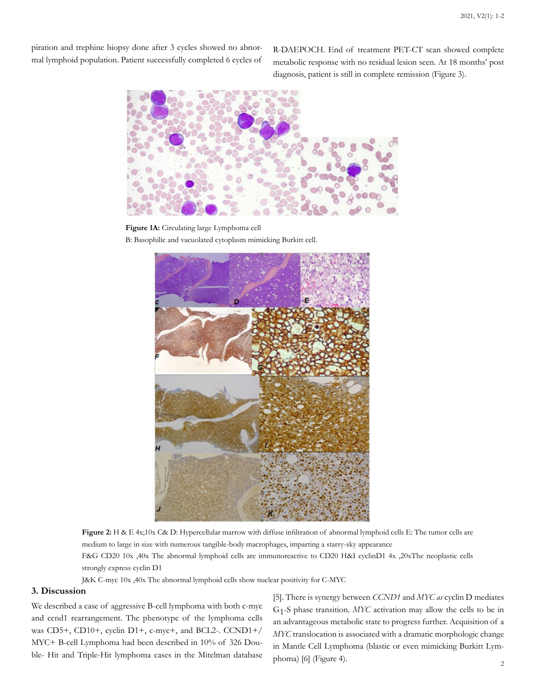piration and trephine biopsy done after 3 cycles showed no abnormal lymphoid population. Patient successfully completed 6 cycles of

R-DAEPOCH. End of treatment PET-CT scan showed complete metabolic response with no residual lesion seen. At 18 months' post diagnosis, patient is still in complete remission (Figure 3).



**Figure 1A:** Circulating large Lymphoma cell B: Basophilic and vacuolated cytoplasm mimicking Burkitt cell.



**Figure 2:** H & E 4x;10x C& D: Hypercellular marrow with diffuse infiltration of abnormal lymphoid cells E: The tumor cells are medium to large in size with numerous tangible-body macrophages, imparting a starry-sky appearance F&G CD20 10x ,40x The abnormal lymphoid cells are immunoreactive to CD20 H&I cyclinD1 4x ,20xThe neoplastic cells strongly express cyclin D1

J&K C-myc 10x ,40x The abnormal lymphoid cells show nuclear positivity for C-MYC

### **3. Discussion**

We described a case of aggressive B-cell lymphoma with both c-myc and ccnd1 rearrangement. The phenotype of the lymphoma cells was CD5+, CD10+, cyclin D1+, c-myc+, and BCL2-. CCND1+/ MYC+ B-cell Lymphoma had been described in 10% of 326 Double- Hit and Triple-Hit lymphoma cases in the Mitelman database

[5]. There is synergy between *CCND1* and *MYC as* cyclin D mediates G1-S phase transition. *MYC* activation may allow the cells to be in an advantageous metabolic state to progress further. Acquisition of a *MYC* translocation is associated with a dramatic morphologic change in Mantle Cell Lymphoma (blastic or even mimicking Burkitt Lymphoma) [6] (Figure 4).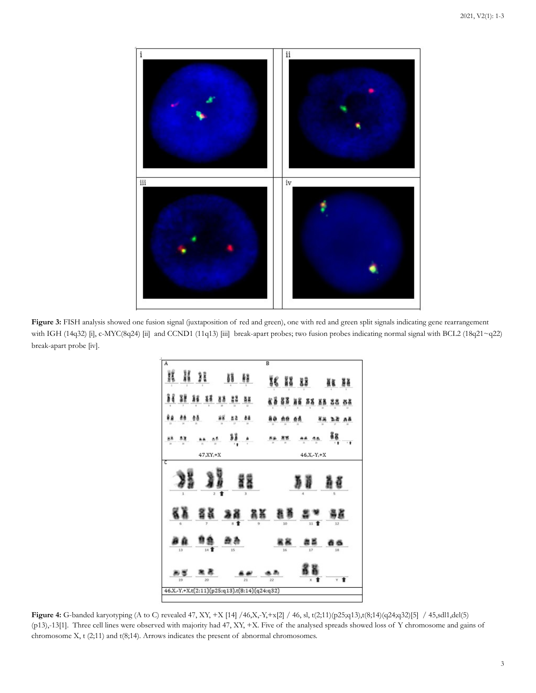

Figure 3: FISH analysis showed one fusion signal (juxtaposition of red and green), one with red and green split signals indicating gene rearrangement with IGH (14q32) [i], c-MYC(8q24) [ii] and CCND1 (11q13) [iii] break-apart probes; two fusion probes indicating normal signal with BCL2 (18q21~q22) break-apart probe [iv].



**Figure 4:** G-banded karyotyping (A to C) revealed 47, XY, +X [14] /46,X,-Y,+x[2] / 46, sl, t(2;11)(p25;q13),t(8;14)(q24;q32)[5] / 45,sdl1,del(5) (p13),-13[1]. Three cell lines were observed with majority had 47, XY, +X. Five of the analysed spreads showed loss of Y chromosome and gains of chromosome X, t (2;11) and t(8;14). Arrows indicates the present of abnormal chromosomes.